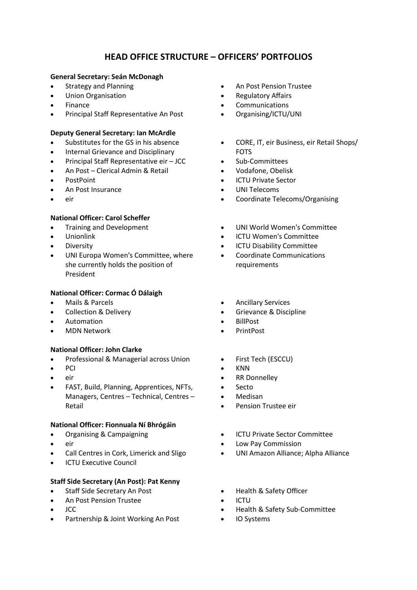# **HEAD OFFICE STRUCTURE – OFFICERS' PORTFOLIOS**

## **General Secretary: Seán McDonagh**

- Strategy and Planning
- Union Organisation
- Finance
- Principal Staff Representative An Post

## **Deputy General Secretary: Ian McArdle**

- Substitutes for the GS in his absence
- Internal Grievance and Disciplinary
- Principal Staff Representative eir JCC
- An Post Clerical Admin & Retail
- PostPoint
- An Post Insurance
- eir

# **National Officer: Carol Scheffer**

- Training and Development
- Unionlink
- **Diversity**
- UNI Europa Women's Committee, where she currently holds the position of President

## **National Officer: Cormac Ó Dálaigh**

- Mails & Parcels
- Collection & Delivery
- Automation
- MDN Network

## **National Officer: John Clarke**

- Professional & Managerial across Union
- PCI
- eir
- FAST, Build, Planning, Apprentices, NFTs, Managers, Centres – Technical, Centres – Retail

## **National Officer: Fionnuala Ní Bhrógáin**

- Organising & Campaigning
- eir
- Call Centres in Cork, Limerick and Sligo
- **ICTU Executive Council**

## **Staff Side Secretary (An Post): Pat Kenny**

- Staff Side Secretary An Post
- An Post Pension Trustee
- JCC
- Partnership & Joint Working An Post
- An Post Pension Trustee
- Regulatory Affairs
- **Communications**
- Organising/ICTU/UNI
- CORE, IT, eir Business, eir Retail Shops/ FOTS
- Sub-Committees
- Vodafone, Obelisk
- **ICTU Private Sector**
- UNI Telecoms
- Coordinate Telecoms/Organising
- UNI World Women's Committee
- ICTU Women's Committee
- ICTU Disability Committee
- Coordinate Communications requirements
- Ancillary Services
- Grievance & Discipline
- BillPost
- PrintPost
- First Tech (ESCCU)
- KNN
	- RR Donnelley
	- Secto
	- Medisan
- Pension Trustee eir
- ICTU Private Sector Committee
- Low Pay Commission
- UNI Amazon Alliance; Alpha Alliance
- Health & Safety Officer
- ICTU
- Health & Safety Sub-Committee
- IO Systems